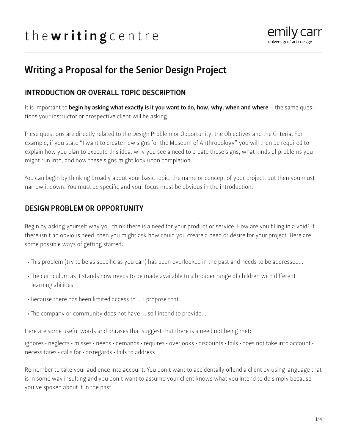# the writing centre



## Writing a Proposal for the Senior Design Project

#### INTRODUCTION OR OVERALL TOPIC DESCRIPTION

It is important to begin by asking what exactly is it you want to do, how, why, when and where - the same questions your instructor or prospective client will be asking.

These questions are directly related to the Design Problem or Opportunity, the Objectives and the Criteria. For example, if you state "I want to create new signs for the Museum of Anthropology" you will then be required to explain how you plan to execute this idea, why you see a need to create these signs, what kinds of problems you might run into, and how these signs might look upon completion.

You can begin by thinking broadly about your basic topic, the name or concept of your project, but then you must narrow it down. You must be specific and your focus must be obvious in the introduction.

#### DESIGN PROBLEM OR OPPORTUNITY

Begin by asking yourself why you think there is a need for your product or service. How are you filling in a void? If there isn't an obvious need, then you might ask how could you create a need or desire for your project. Here are some possible ways of getting started:

- This problem (try to be as specific as you can) has been overlooked in the past and needs to be addressed...
- The curriculum as it stands now needs to be made available to a broader range of children with different learning abilities.
- Because there has been limited access to ... I propose that...
- The company or community does not have ... so I intend to provide...

Here are some useful words and phrases that suggest that there is a need not being met:

ignores • neglects • misses • needs • demands • requires • overlooks • discounts • fails • does not take into account • necessitates • calls for • disregards • fails to address

Remember to take your audience into account. You don't want to accidentally offend a client by using language that is in some way insulting and you don't want to assume your client knows what you intend to do simply because you've spoken about it in the past.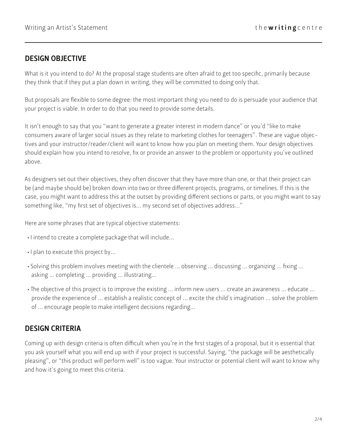#### DESIGN OBJECTIVE

What is it you intend to do? At the proposal stage students are often afraid to get too specific, primarily because they think that if they put a plan down in writing, they will be committed to doing only that.

But proposals are flexible to some degree: the most important thing you need to do is persuade your audience that your project is viable. In order to do that you need to provide some details.

It isn't enough to say that you "want to generate a greater interest in modern dance" or you'd "like to make consumers aware of larger social issues as they relate to marketing clothes for teenagers". These are vague objectives and your instructor/reader/client will want to know how you plan on meeting them. Your design objectives should explain how you intend to resolve, fix or provide an answer to the problem or opportunity you've outlined above.

As designers set out their objectives, they often discover that they have more than one, or that their project can be (and maybe should be) broken down into two or three different projects, programs, or timelines. If this is the case, you might want to address this at the outset by providing different sections or parts, or you might want to say something like, "my first set of objectives is... my second set of objectives address..."

Here are some phrases that are typical objective statements:

- I intend to create a complete package that will include...
- I plan to execute this project by...
- Solving this problem involves meeting with the clientele ... observing ... discussing ... organizing ... fixing ... asking ... completing ... providing ... illustrating...
- The objective of this project is to improve the existing ... inform new users ... create an awareness ... educate ... provide the experience of ... establish a realistic concept of ... excite the child's imagination ... solve the problem of ... encourage people to make intelligent decisions regarding...

#### DESIGN CRITERIA

Coming up with design criteria is often difficult when you're in the first stages of a proposal, but it is essential that you ask yourself what you will end up with if your project is successful. Saying, "the package will be aesthetically pleasing", or "this product will perform well" is too vague. Your instructor or potential client will want to know why and how it's going to meet this criteria.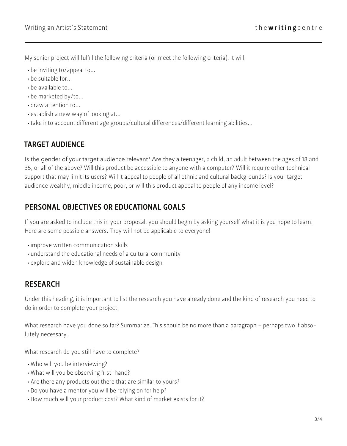My senior project will fulfill the following criteria (or meet the following criteria). It will:

- be inviting to/appeal to...
- be suitable for...
- be available to...
- be marketed by/to...
- draw attention to...
- establish a new way of looking at...
- take into account different age groups/cultural differences/different learning abilities...

#### TARGET AUDIENCE

Is the gender of your target audience relevant? Are they a teenager, a child, an adult between the ages of 18 and 35, or all of the above? Will this product be accessible to anyone with a computer? Will it require other technical support that may limit its users? Will it appeal to people of all ethnic and cultural backgrounds? Is your target audience wealthy, middle income, poor, or will this product appeal to people of any income level?

### PERSONAL OBJECTIVES OR EDUCATIONAL GOALS

If you are asked to include this in your proposal, you should begin by asking yourself what it is you hope to learn. Here are some possible answers. They will not be applicable to everyone!

- improve written communication skills
- understand the educational needs of a cultural community
- explore and widen knowledge of sustainable design

### RESEARCH

Under this heading, it is important to list the research you have already done and the kind of research you need to do in order to complete your project.

What research have you done so far? Summarize. This should be no more than a paragraph – perhaps two if absolutely necessary.

What research do you still have to complete?

- Who will you be interviewing?
- What will you be observing first-hand?
- Are there any products out there that are similar to yours?
- Do you have a mentor you will be relying on for help?
- How much will your product cost? What kind of market exists for it?